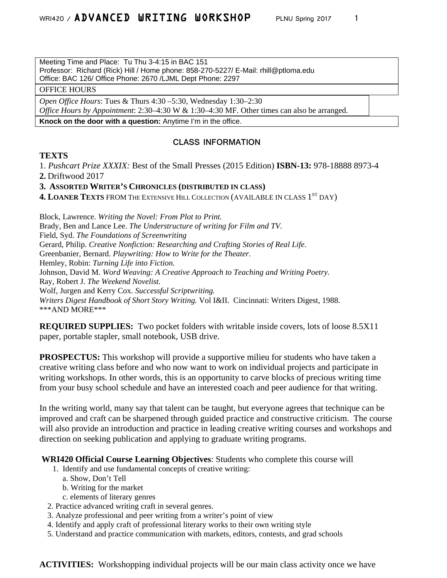Meeting Time and Place: Tu Thu 3-4:15 in BAC 151 Professor: Richard (Rick) Hill / Home phone: 858-270-5227/ E-Mail: rhill@ptloma.edu Office: BAC 126/ Office Phone: 2670 /LJML Dept Phone: 2297

### OFFICE HOURS

*Open Office Hours*: Tues & Thurs 4:30 –5:30, Wednesday 1:30–2:30

*Office Hours by Appointment*: 2:30–4:30 W & 1:30–4:30 MF. Other times can also be arranged.

**Knock on the door with a question:** Anytime I'm in the office.

### **CLASS INFORMATION**

### **TEXTS**

1. *Pushcart Prize XXXIX:* Best of the Small Presses (2015 Edition) **ISBN-13:** 978-18888 8973-4 **2.** Driftwood 2017

### **3. ASSORTED WRITER'S CHRONICLES (DISTRIBUTED IN CLASS)**

**4. LOANER TEXTS** FROM THE EXTENSIVE HILL COLLECTION (AVAILABLE IN CLASS 1<sup>ST</sup> DAY)

Block, Lawrence. *Writing the Novel: From Plot to Print.* Brady, Ben and Lance Lee. *The Understructure of writing for Film and TV.* Field, Syd. *The Foundations of Screenwriting* Gerard, Philip. *Creative Nonfiction: Researching and Crafting Stories of Real Life.* Greenbanier, Bernard. *Playwriting: How to Write for the Theater.* Hemley, Robin: *Turning Life into Fiction.* Johnson, David M. *Word Weaving: A Creative Approach to Teaching and Writing Poetry.* Ray, Robert J. *The Weekend Novelist.* Wolf, Jurgen and Kerry Cox. *Successful Scriptwriting. Writers Digest Handbook of Short Story Writing.* Vol I&II. Cincinnati: Writers Digest, 1988. \*\*\*AND MORE\*\*\*

**REQUIRED SUPPLIES:** Two pocket folders with writable inside covers, lots of loose 8.5X11 paper, portable stapler, small notebook, USB drive.

**PROSPECTUS:** This workshop will provide a supportive milieu for students who have taken a creative writing class before and who now want to work on individual projects and participate in writing workshops. In other words, this is an opportunity to carve blocks of precious writing time from your busy school schedule and have an interested coach and peer audience for that writing.

In the writing world, many say that talent can be taught, but everyone agrees that technique can be improved and craft can be sharpened through guided practice and constructive criticism. The course will also provide an introduction and practice in leading creative writing courses and workshops and direction on seeking publication and applying to graduate writing programs.

**WRI420 Official Course Learning Objectives**: Students who complete this course will

- 1. Identify and use fundamental concepts of creative writing:
	- a. Show, Don't Tell
	- b. Writing for the market
	- c. elements of literary genres
- 2. Practice advanced writing craft in several genres.
- 3. Analyze professional and peer writing from a writer's point of view
- 4. Identify and apply craft of professional literary works to their own writing style
- 5. Understand and practice communication with markets, editors, contests, and grad schools

**ACTIVITIES:** Workshopping individual projects will be our main class activity once we have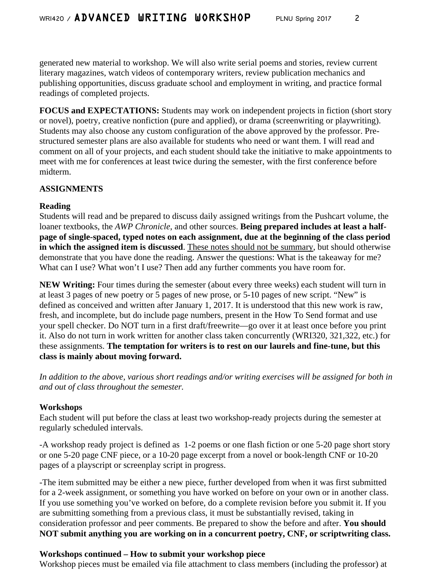generated new material to workshop. We will also write serial poems and stories, review current literary magazines, watch videos of contemporary writers, review publication mechanics and publishing opportunities, discuss graduate school and employment in writing, and practice formal readings of completed projects.

**FOCUS and EXPECTATIONS:** Students may work on independent projects in fiction (short story or novel), poetry, creative nonfiction (pure and applied), or drama (screenwriting or playwriting). Students may also choose any custom configuration of the above approved by the professor. Prestructured semester plans are also available for students who need or want them. I will read and comment on all of your projects, and each student should take the initiative to make appointments to meet with me for conferences at least twice during the semester, with the first conference before midterm.

## **ASSIGNMENTS**

## **Reading**

Students will read and be prepared to discuss daily assigned writings from the Pushcart volume, the loaner textbooks, the *AWP Chronicle*, and other sources. **Being prepared includes at least a halfpage of single-spaced, typed notes on each assignment, due at the beginning of the class period in which the assigned item is discussed**. These notes should not be summary, but should otherwise demonstrate that you have done the reading. Answer the questions: What is the takeaway for me? What can I use? What won't I use? Then add any further comments you have room for.

**NEW Writing:** Four times during the semester (about every three weeks) each student will turn in at least 3 pages of new poetry or 5 pages of new prose, or 5-10 pages of new script. "New" is defined as conceived and written after January 1, 2017. It is understood that this new work is raw, fresh, and incomplete, but do include page numbers, present in the How To Send format and use your spell checker. Do NOT turn in a first draft/freewrite—go over it at least once before you print it. Also do not turn in work written for another class taken concurrently (WRI320, 321,322, etc.) for these assignments. **The temptation for writers is to rest on our laurels and fine-tune, but this class is mainly about moving forward.** 

*In addition to the above, various short readings and/or writing exercises will be assigned for both in and out of class throughout the semester.*

## **Workshops**

Each student will put before the class at least two workshop-ready projects during the semester at regularly scheduled intervals.

-A workshop ready project is defined as 1-2 poems or one flash fiction or one 5-20 page short story or one 5-20 page CNF piece, or a 10-20 page excerpt from a novel or book-length CNF or 10-20 pages of a playscript or screenplay script in progress.

-The item submitted may be either a new piece, further developed from when it was first submitted for a 2-week assignment, or something you have worked on before on your own or in another class. If you use something you've worked on before, do a complete revision before you submit it. If you are submitting something from a previous class, it must be substantially revised, taking in consideration professor and peer comments. Be prepared to show the before and after. **You should NOT submit anything you are working on in a concurrent poetry, CNF, or scriptwriting class.** 

## **Workshops continued – How to submit your workshop piece**

Workshop pieces must be emailed via file attachment to class members (including the professor) at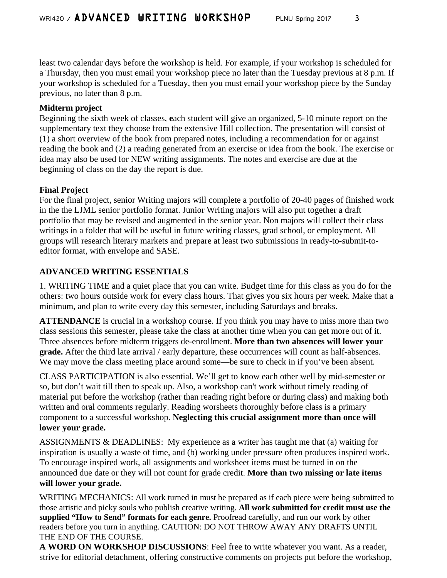least two calendar days before the workshop is held. For example, if your workshop is scheduled for a Thursday, then you must email your workshop piece no later than the Tuesday previous at 8 p.m. If your workshop is scheduled for a Tuesday, then you must email your workshop piece by the Sunday previous, no later than 8 p.m.

## **Midterm project**

Beginning the sixth week of classes, **e**ach student will give an organized, 5-10 minute report on the supplementary text they choose from the extensive Hill collection. The presentation will consist of (1) a short overview of the book from prepared notes, including a recommendation for or against reading the book and (2) a reading generated from an exercise or idea from the book. The exercise or idea may also be used for NEW writing assignments. The notes and exercise are due at the beginning of class on the day the report is due.

## **Final Project**

For the final project, senior Writing majors will complete a portfolio of 20-40 pages of finished work in the the LJML senior portfolio format. Junior Writing majors will also put together a draft portfolio that may be revised and augmented in the senior year. Non majors will collect their class writings in a folder that will be useful in future writing classes, grad school, or employment. All groups will research literary markets and prepare at least two submissions in ready-to-submit-toeditor format, with envelope and SASE.

# **ADVANCED WRITING ESSENTIALS**

1. WRITING TIME and a quiet place that you can write. Budget time for this class as you do for the others: two hours outside work for every class hours. That gives you six hours per week. Make that a minimum, and plan to write every day this semester, including Saturdays and breaks.

**ATTENDANCE** is crucial in a workshop course. If you think you may have to miss more than two class sessions this semester, please take the class at another time when you can get more out of it. Three absences before midterm triggers de-enrollment. **More than two absences will lower your grade.** After the third late arrival / early departure, these occurrences will count as half-absences. We may move the class meeting place around some—be sure to check in if you've been absent.

CLASS PARTICIPATION is also essential. We'll get to know each other well by mid-semester or so, but don't wait till then to speak up. Also, a workshop can't work without timely reading of material put before the workshop (rather than reading right before or during class) and making both written and oral comments regularly. Reading worsheets thoroughly before class is a primary component to a successful workshop. **Neglecting this crucial assignment more than once will lower your grade.**

ASSIGNMENTS & DEADLINES: My experience as a writer has taught me that (a) waiting for inspiration is usually a waste of time, and (b) working under pressure often produces inspired work. To encourage inspired work, all assignments and worksheet items must be turned in on the announced due date or they will not count for grade credit. **More than two missing or late items will lower your grade.** 

WRITING MECHANICS: All work turned in must be prepared as if each piece were being submitted to those artistic and picky souls who publish creative writing. **All work submitted for credit must use the supplied "How to Send" formats for each genre.** Proofread carefully, and run our work by other readers before you turn in anything. CAUTION: DO NOT THROW AWAY ANY DRAFTS UNTIL THE END OF THE COURSE.

**A WORD ON WORKSHOP DISCUSSIONS**: Feel free to write whatever you want. As a reader, strive for editorial detachment, offering constructive comments on projects put before the workshop,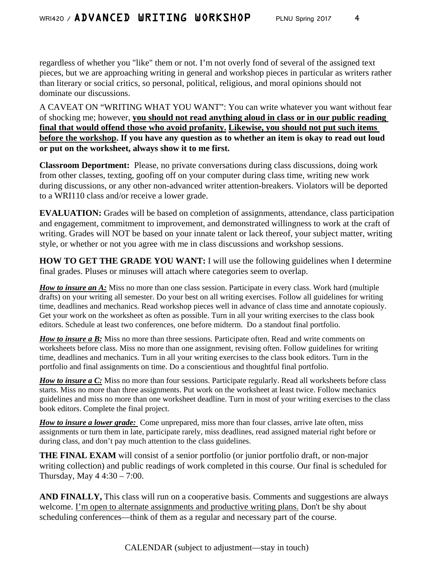regardless of whether you "like" them or not. I'm not overly fond of several of the assigned text pieces, but we are approaching writing in general and workshop pieces in particular as writers rather than literary or social critics, so personal, political, religious, and moral opinions should not dominate our discussions.

A CAVEAT ON "WRITING WHAT YOU WANT": You can write whatever you want without fear of shocking me; however, **you should not read anything aloud in class or in our public reading final that would offend those who avoid profanity. Likewise, you should not put such items before the workshop. If you have any question as to whether an item is okay to read out loud or put on the worksheet, always show it to me first.**

**Classroom Deportment:** Please, no private conversations during class discussions, doing work from other classes, texting, goofing off on your computer during class time, writing new work during discussions, or any other non-advanced writer attention-breakers. Violators will be deported to a WRI110 class and/or receive a lower grade.

**EVALUATION:** Grades will be based on completion of assignments, attendance, class participation and engagement, commitment to improvement, and demonstrated willingness to work at the craft of writing. Grades will NOT be based on your innate talent or lack thereof, your subject matter, writing style, or whether or not you agree with me in class discussions and workshop sessions.

**HOW TO GET THE GRADE YOU WANT:** I will use the following guidelines when I determine final grades. Pluses or minuses will attach where categories seem to overlap.

*How to insure an A:* Miss no more than one class session. Participate in every class. Work hard (multiple drafts) on your writing all semester. Do your best on all writing exercises. Follow all guidelines for writing time, deadlines and mechanics. Read workshop pieces well in advance of class time and annotate copiously. Get your work on the worksheet as often as possible. Turn in all your writing exercises to the class book editors. Schedule at least two conferences, one before midterm. Do a standout final portfolio.

*How to insure a B:* Miss no more than three sessions. Participate often. Read and write comments on worksheets before class. Miss no more than one assignment, revising often. Follow guidelines for writing time, deadlines and mechanics. Turn in all your writing exercises to the class book editors. Turn in the portfolio and final assignments on time. Do a conscientious and thoughtful final portfolio.

*How to insure a C:* Miss no more than four sessions. Participate regularly. Read all worksheets before class starts. Miss no more than three assignments. Put work on the worksheet at least twice. Follow mechanics guidelines and miss no more than one worksheet deadline. Turn in most of your writing exercises to the class book editors. Complete the final project.

*How to insure a lower grade:* Come unprepared, miss more than four classes, arrive late often, miss assignments or turn them in late, participate rarely, miss deadlines, read assigned material right before or during class, and don't pay much attention to the class guidelines.

**THE FINAL EXAM** will consist of a senior portfolio (or junior portfolio draft, or non-major writing collection) and public readings of work completed in this course. Our final is scheduled for Thursday, May 4 4:30 – 7:00.

AND FINALLY, This class will run on a cooperative basis. Comments and suggestions are always welcome. I'm open to alternate assignments and productive writing plans. Don't be shy about scheduling conferences—think of them as a regular and necessary part of the course.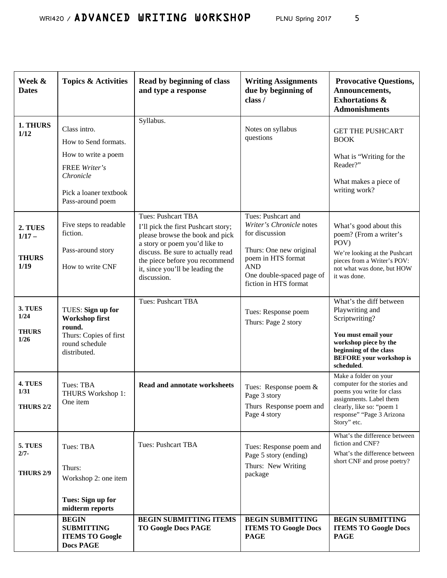| Week &<br><b>Dates</b>                      | <b>Topics &amp; Activities</b>                                                                                                          | Read by beginning of class<br>and type a response                                                                                                                                                                                                             | <b>Writing Assignments</b><br>due by beginning of<br>class /                                                                                                                          | <b>Provocative Questions,</b><br>Announcements,<br><b>Exhortations &amp;</b><br><b>Admonishments</b>                                                                                   |
|---------------------------------------------|-----------------------------------------------------------------------------------------------------------------------------------------|---------------------------------------------------------------------------------------------------------------------------------------------------------------------------------------------------------------------------------------------------------------|---------------------------------------------------------------------------------------------------------------------------------------------------------------------------------------|----------------------------------------------------------------------------------------------------------------------------------------------------------------------------------------|
| 1. THURS<br>1/12                            | Class intro.<br>How to Send formats.<br>How to write a poem<br>FREE Writer's<br>Chronicle<br>Pick a loaner textbook<br>Pass-around poem | Syllabus.                                                                                                                                                                                                                                                     | Notes on syllabus<br>questions                                                                                                                                                        | <b>GET THE PUSHCART</b><br><b>BOOK</b><br>What is "Writing for the<br>Reader?"<br>What makes a piece of<br>writing work?                                                               |
| 2. TUES<br>$1/17 -$<br><b>THURS</b><br>1/19 | Five steps to readable<br>fiction.<br>Pass-around story<br>How to write CNF                                                             | <b>Tues: Pushcart TBA</b><br>I'll pick the first Pushcart story;<br>please browse the book and pick<br>a story or poem you'd like to<br>discuss. Be sure to actually read<br>the piece before you recommend<br>it, since you'll be leading the<br>discussion. | Tues: Pushcart and<br>Writer's Chronicle notes<br>for discussion<br>Thurs: One new original<br>poem in HTS format<br><b>AND</b><br>One double-spaced page of<br>fiction in HTS format | What's good about this<br>poem? (From a writer's<br>POV)<br>We're looking at the Pushcart<br>pieces from a Writer's POV:<br>not what was done, but HOW<br>it was done.                 |
| 3. TUES<br>1/24<br><b>THURS</b><br>1/26     | TUES: Sign up for<br><b>Workshop first</b><br>round.<br>Thurs: Copies of first<br>round schedule<br>distributed.                        | Tues: Pushcart TBA                                                                                                                                                                                                                                            | Tues: Response poem<br>Thurs: Page 2 story                                                                                                                                            | What's the diff between<br>Playwriting and<br>Scriptwriting?<br>You must email your<br>workshop piece by the<br>beginning of the class<br><b>BEFORE</b> your workshop is<br>scheduled. |
| 4. TUES<br>1/31<br><b>THURS 2/2</b>         | Tues: TBA<br>THURS Workshop 1:<br>One item                                                                                              | <b>Read and annotate worksheets</b>                                                                                                                                                                                                                           | Tues: Response poem &<br>Page 3 story<br>Thurs Response poem and<br>Page 4 story                                                                                                      | Make a folder on your<br>computer for the stories and<br>poems you write for class<br>assignments. Label them<br>clearly, like so: "poem 1<br>response" "Page 3 Arizona<br>Story" etc. |
| 5. TUES<br>$2/7 -$<br><b>THURS 2/9</b>      | Tues: TBA<br>Thurs:<br>Workshop 2: one item<br>Tues: Sign up for<br>midterm reports                                                     | <b>Tues: Pushcart TBA</b>                                                                                                                                                                                                                                     | Tues: Response poem and<br>Page 5 story (ending)<br>Thurs: New Writing<br>package                                                                                                     | What's the difference between<br>fiction and CNF?<br>What's the difference between<br>short CNF and prose poetry?                                                                      |
|                                             | <b>BEGIN</b><br><b>SUBMITTING</b><br><b>ITEMS TO Google</b><br><b>Docs PAGE</b>                                                         | <b>BEGIN SUBMITTING ITEMS</b><br><b>TO Google Docs PAGE</b>                                                                                                                                                                                                   | <b>BEGIN SUBMITTING</b><br><b>ITEMS TO Google Docs</b><br><b>PAGE</b>                                                                                                                 | <b>BEGIN SUBMITTING</b><br><b>ITEMS TO Google Docs</b><br><b>PAGE</b>                                                                                                                  |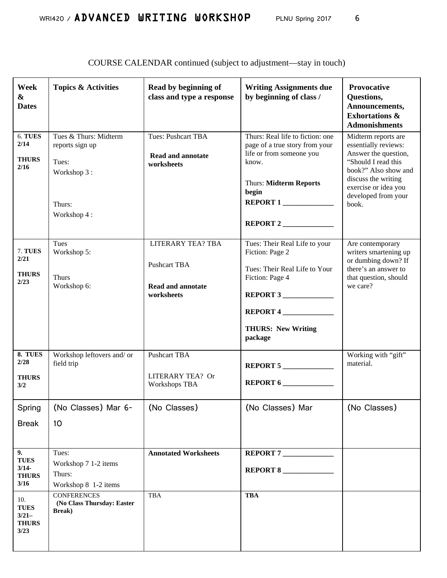| Week<br>&<br><b>Dates</b>                             | <b>Topics &amp; Activities</b>                                                            | Read by beginning of<br>class and type a response                                         | <b>Writing Assignments due</b><br>by beginning of class /                                                                                                                        | Provocative<br>Questions,<br>Announcements,<br><b>Exhortations &amp;</b><br><b>Admonishments</b>                                                                                                  |
|-------------------------------------------------------|-------------------------------------------------------------------------------------------|-------------------------------------------------------------------------------------------|----------------------------------------------------------------------------------------------------------------------------------------------------------------------------------|---------------------------------------------------------------------------------------------------------------------------------------------------------------------------------------------------|
| 6. TUES<br>2/14<br><b>THURS</b><br>2/16               | Tues & Thurs: Midterm<br>reports sign up<br>Tues:<br>Workshop 3:<br>Thurs:<br>Workshop 4: | <b>Tues: Pushcart TBA</b><br><b>Read and annotate</b><br>worksheets                       | Thurs: Real life to fiction: one<br>page of a true story from your<br>life or from someone you<br>know.<br><b>Thurs: Midterm Reports</b><br>begin<br><b>REPORT 1</b><br>REPORT 2 | Midterm reports are<br>essentially reviews:<br>Answer the question,<br>"Should I read this<br>book?" Also show and<br>discuss the writing<br>exercise or idea you<br>developed from your<br>book. |
| 7. TUES<br>2/21<br><b>THURS</b><br>2/23               | Tues<br>Workshop 5:<br><b>Thurs</b><br>Workshop 6:                                        | <b>LITERARY TEA? TBA</b><br><b>Pushcart TBA</b><br><b>Read and annotate</b><br>worksheets | Tues: Their Real Life to your<br>Fiction: Page 2<br>Tues: Their Real Life to Your<br>Fiction: Page 4<br>REPORT 3<br>REPORT 4<br><b>THURS: New Writing</b><br>package             | Are contemporary<br>writers smartening up<br>or dumbing down? If<br>there's an answer to<br>that question, should<br>we care?                                                                     |
| 8. TUES<br>2/28<br><b>THURS</b><br>3/2                | Workshop leftovers and/ or<br>field trip                                                  | <b>Pushcart TBA</b><br>LITERARY TEA? Or<br><b>Workshops TBA</b>                           | REPORT $5$<br>REPORT 6                                                                                                                                                           | Working with "gift"<br>material.                                                                                                                                                                  |
| Spring<br><b>Break</b>                                | (No Classes) Mar 6-<br>10                                                                 | (No Classes)                                                                              | (No Classes) Mar                                                                                                                                                                 | (No Classes)                                                                                                                                                                                      |
| 9.<br><b>TUES</b><br>$3/14-$<br><b>THURS</b><br>3/16  | Tues:<br>Workshop 7 1-2 items<br>Thurs:<br>Workshop 8 1-2 items                           | <b>Annotated Worksheets</b>                                                               | REPORT 7                                                                                                                                                                         |                                                                                                                                                                                                   |
| 10.<br><b>TUES</b><br>$3/21-$<br><b>THURS</b><br>3/23 | <b>CONFERENCES</b><br>(No Class Thursday: Easter<br><b>Break</b> )                        | <b>TBA</b>                                                                                | <b>TBA</b>                                                                                                                                                                       |                                                                                                                                                                                                   |

COURSE CALENDAR continued (subject to adjustment—stay in touch)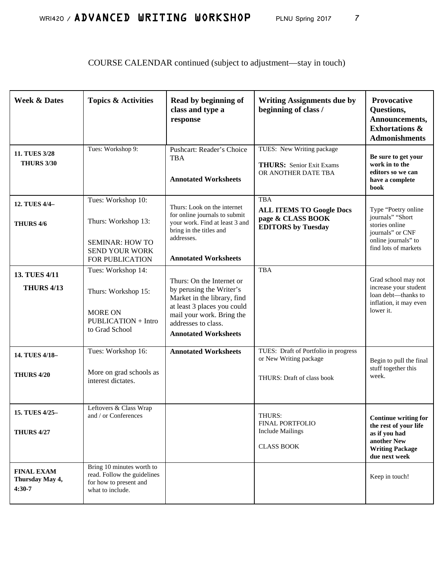# COURSE CALENDAR continued (subject to adjustment—stay in touch)

| <b>Week &amp; Dates</b>                                                                 | <b>Topics &amp; Activities</b>                                                                                                                                  | Read by beginning of<br>class and type a<br>response                                                                                                                                                   | <b>Writing Assignments due by</b><br>beginning of class /                                       | <b>Provocative</b><br>Questions,<br>Announcements,<br><b>Exhortations &amp;</b><br><b>Admonishments</b>                                    |
|-----------------------------------------------------------------------------------------|-----------------------------------------------------------------------------------------------------------------------------------------------------------------|--------------------------------------------------------------------------------------------------------------------------------------------------------------------------------------------------------|-------------------------------------------------------------------------------------------------|--------------------------------------------------------------------------------------------------------------------------------------------|
| 11. TUES 3/28<br><b>THURS 3/30</b>                                                      | Tues: Workshop 9:                                                                                                                                               | Pushcart: Reader's Choice<br><b>TBA</b><br><b>Annotated Worksheets</b>                                                                                                                                 | TUES: New Writing package<br><b>THURS:</b> Senior Exit Exams<br>OR ANOTHER DATE TBA             | Be sure to get your<br>work in to the<br>editors so we can<br>have a complete<br>book                                                      |
| 12. TUES 4/4-<br>THURS 4/6                                                              | Tues: Workshop 10:<br>Thurs: Workshop 13:<br><b>SEMINAR: HOW TO</b><br><b>SEND YOUR WORK</b><br>FOR PUBLICATION                                                 | Thurs: Look on the internet<br>for online journals to submit<br>your work. Find at least 3 and<br>bring in the titles and<br>addresses.<br><b>Annotated Worksheets</b>                                 | <b>TBA</b><br><b>ALL ITEMS TO Google Docs</b><br>page & CLASS BOOK<br><b>EDITORS</b> by Tuesday | Type "Poetry online<br>journals" "Short<br>stories online<br>journals" or CNF<br>online journals" to<br>find lots of markets               |
| 13. TUES 4/11<br><b>THURS 4/13</b>                                                      | Tues: Workshop 14:<br>Thurs: Workshop 15:<br><b>MORE ON</b><br><b>PUBLICATION + Intro</b><br>to Grad School                                                     | Thurs: On the Internet or<br>by perusing the Writer's<br>Market in the library, find<br>at least 3 places you could<br>mail your work. Bring the<br>addresses to class.<br><b>Annotated Worksheets</b> | <b>TBA</b>                                                                                      | Grad school may not<br>increase your student<br>loan debt-thanks to<br>inflation, it may even<br>lower it.                                 |
| 14. TUES 4/18-<br><b>THURS 4/20</b>                                                     | Tues: Workshop 16:<br>More on grad schools as<br>interest dictates.                                                                                             | <b>Annotated Worksheets</b>                                                                                                                                                                            | TUES: Draft of Portfolio in progress<br>or New Writing package<br>THURS: Draft of class book    | Begin to pull the final<br>stuff together this<br>week.                                                                                    |
| 15. TUES 4/25-<br><b>THURS 4/27</b><br><b>FINAL EXAM</b><br>Thursday May 4,<br>$4:30-7$ | Leftovers & Class Wrap<br>and $\prime$ or Conferences<br>Bring 10 minutes worth to<br>read. Follow the guidelines<br>for how to present and<br>what to include. |                                                                                                                                                                                                        | THURS:<br><b>FINAL PORTFOLIO</b><br><b>Include Mailings</b><br><b>CLASS BOOK</b>                | Continue writing for<br>the rest of your life<br>as if you had<br>another New<br><b>Writing Package</b><br>due next week<br>Keep in touch! |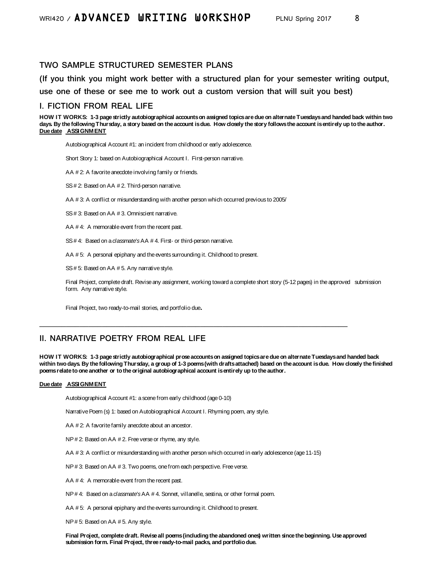# WRI420 / ADVANCED URITING UORKSHOP PLNU Spring 2017 8

### **TWO SAMPLE STRUCTURED SEMESTER PLANS**

**(If you think you might work better with a structured plan for your semester writing output, use one of these or see me to work out a custom version that will suit you best)**

#### **I. FICTION FROM REAL LIFE**

**HOW IT WORKS: 1-3 page strictly autobiographical accounts on assigned topics are due on alternate Tuesdays and handed back within two**  days. By the following Thursday, a story based on the account is due. How closely the story follows the account is entirely up to the author. **Due date ASSIGNMENT**

Autobiographical Account #1: an incident from childhood or early adolescence.

Short Story 1: based on Autobiographical Account I. First-person narrative.

AA # 2: A favorite anecdote involving family or friends.

SS # 2: Based on AA # 2. Third-person narrative.

AA # 3: A conflict or misunderstanding with another person which occurred previous to 2005/

SS # 3: Based on AA # 3. Omniscient narrative.

AA # 4: A memorable event from the recent past.

SS # 4: Based on a *classmate's*AA # 4. First- or third-person narrative.

AA #5: A personal epiphany and the events surrounding it. Childhood to present.

SS # 5: Based on AA # 5. Any narrative style.

Final Project, complete draft. Revise any assignment, working toward a complete short story (5-12 pages) in the approved submission form. Any narrative style.

Final Project, two ready-to-mail stories, and portfolio due.

### **II. NARRATIVE POETRY FROM REAL LIFE**

**HOW IT WORKS: 1-3 page strictly autobiographical prose accounts on assigned topics are due on alternate Tuesdays and handed back within two days. By the following Thursday, a group of 1-3 poems (with drafts attached) based on the account is due. How closely the finished poems relate to one another or to the original autobiographical account is entirely up to the author.** 

#### **Due date ASSIGNMENT**

Autobiographical Account #1: a scene from early childhood (age 0-10)

Narrative Poem (s) 1: based on Autobiographical Account I. Rhyming poem, any style.

AA # 2: A favorite family anecdote about an ancestor.

NP # 2: Based on AA # 2. Free verse or rhyme, any style.

AA # 3: A conflict or misunderstanding with another person which occurred in early adolescence (age 11-15)

**\_\_\_\_\_\_\_\_\_\_\_\_\_\_\_\_\_\_\_\_\_\_\_\_\_\_\_\_\_\_\_\_\_\_\_\_\_\_\_\_\_\_\_\_\_\_\_\_\_\_\_\_\_\_\_\_\_\_\_\_\_\_\_\_\_\_\_\_\_**

NP # 3: Based on AA # 3. Two poems, one from each perspective. Free verse.

AA # 4: A memorable event from the recent past.

NP # 4: Based on a *classmate's*AA # 4. Sonnet, villanelle, sestina, or other formal poem.

AA # 5: A personal epiphany and the events surrounding it. Childhood to present.

NP # 5: Based on AA # 5. Any style.

**Final Project, complete draft. Revise all poems (including the abandoned ones) written since the beginning. Use approved submission form. Final Project, three ready-to-mail packs, and portfolio due.**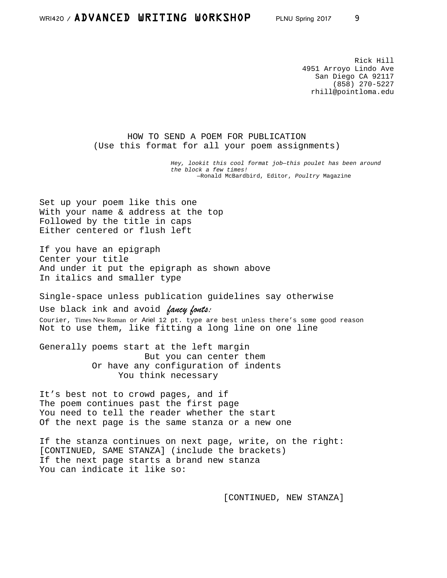# WRI420 / ADVANCED URITING UORKSHOP PLNU Spring 2017 9

Rick Hill 4951 Arroyo Lindo Ave San Diego CA 92117 (858) 270-5227 rhill@pointloma.edu

HOW TO SEND A POEM FOR PUBLICATION (Use this format for all your poem assignments)

> *Hey, lookit this cool format job—this poulet has been around the block a few times!* —Ronald McBardbird, Editor, *Poultry* Magazine

Set up your poem like this one With your name & address at the top Followed by the title in caps Either centered or flush left

If you have an epigraph Center your title And under it put the epigraph as shown above In italics and smaller type

Single-space unless publication guidelines say otherwise Use black ink and avoid *fancy fonts:*  Courier, Times New Roman or Ariel 12 pt. type are best unless there's some good reason Not to use them, like fitting a long line on one line

Generally poems start at the left margin But you can center them Or have any configuration of indents You think necessary

It's best not to crowd pages, and if The poem continues past the first page You need to tell the reader whether the start Of the next page is the same stanza or a new one

If the stanza continues on next page, write, on the right: [CONTINUED, SAME STANZA] (include the brackets) If the next page starts a brand new stanza You can indicate it like so:

[CONTINUED, NEW STANZA]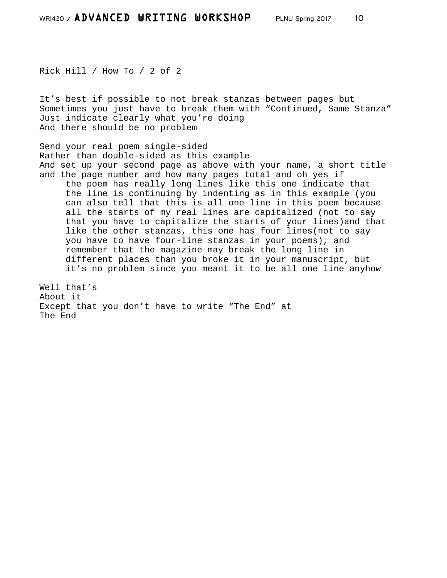Rick Hill / How To / 2 of 2

It's best if possible to not break stanzas between pages but Sometimes you just have to break them with "Continued, Same Stanza" Just indicate clearly what you're doing And there should be no problem

Send your real poem single-sided Rather than double-sided as this example And set up your second page as above with your name, a short title and the page number and how many pages total and oh yes if the poem has really long lines like this one indicate that the line is continuing by indenting as in this example (you can also tell that this is all one line in this poem because all the starts of my real lines are capitalized (not to say that you have to capitalize the starts of your lines)and that like the other stanzas, this one has four lines(not to say you have to have four-line stanzas in your poems), and remember that the magazine may break the long line in different places than you broke it in your manuscript, but it's no problem since you meant it to be all one line anyhow

Well that's About it Except that you don't have to write "The End" at The End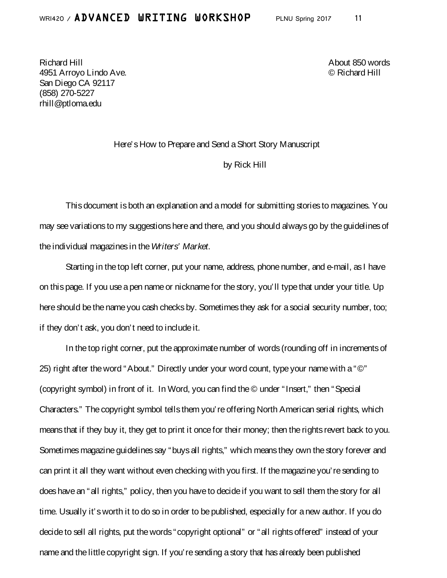Richard Hill About 850 words 4951 Arroyo Lindo Ave. © Richard Hill San Diego CA 92117 (858) 270-5227 rhill@ptloma.edu

### Here's How to Prepare and Send a Short Story Manuscript

### by Rick Hill

This document is both an explanation and a model for submitting stories to magazines. You may see variations to my suggestions here and there, and you should always go by the guidelines of the individual magazines in the *Writers' Market*.

Starting in the top left corner, put your name, address, phone number, and e-mail, as I have on this page. If you use a pen name or nickname for the story, you'll type that under your title. Up here should be the name you cash checks by. Sometimes they ask for a social security number, too; if they don't ask, you don't need to include it.

In the top right corner, put the approximate number of words (rounding off in increments of 25) right after the word "About." Directly under your word count, type your name with a "©" (copyright symbol) in front of it. In Word, you can find the © under "Insert," then "Special Characters." The copyright symbol tells them you're offering North American serial rights, which means that if they buy it, they get to print it once for their money; then the rights revert back to you. Sometimes magazine guidelines say "buys all rights," which means they own the story forever and can print it all they want without even checking with you first. If the magazine you're sending to does have an "all rights," policy, then you have to decide if you want to sell them the story for all time. Usually it's worth it to do so in order to be published, especially for a new author. If you do decide to sell all rights, put the words "copyright optional" or "all rights offered" instead of your name and the little copyright sign. If you're sending a story that has already been published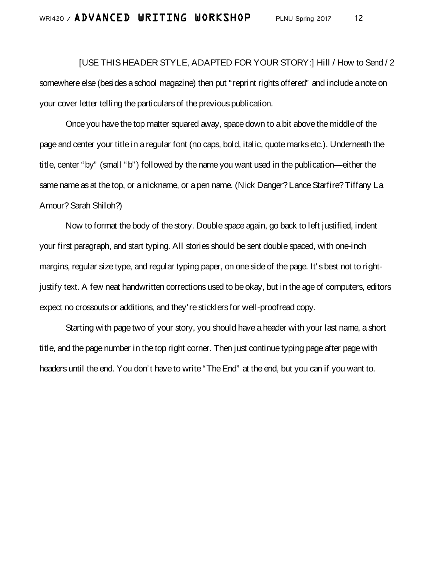[USE THIS HEADER STYLE, ADAPTED FOR YOUR STORY:] Hill / How to Send / 2 somewhere else (besides a school magazine) then put "reprint rights offered" and include a note on your cover letter telling the particulars of the previous publication.

Once you have the top matter squared away, space down to a bit above the middle of the page and center your title in a regular font (no caps, bold, italic, quote marks etc.). Underneath the title, center "by" (small "b") followed by the name you want used in the publication—either the same name as at the top, or a nickname, or a pen name. (Nick Danger? Lance Starfire? Tiffany La Amour? Sarah Shiloh?)

Now to format the body of the story. Double space again, go back to left justified, indent your first paragraph, and start typing. All stories should be sent double spaced, with one-inch margins, regular size type, and regular typing paper, on one side of the page. It's best not to rightjustify text. A few neat handwritten corrections used to be okay, but in the age of computers, editors expect no crossouts or additions, and they're sticklers for well-proofread copy.

Starting with page two of your story, you should have a header with your last name, a short title, and the page number in the top right corner. Then just continue typing page after page with headers until the end. You don't have to write "The End" at the end, but you can if you want to.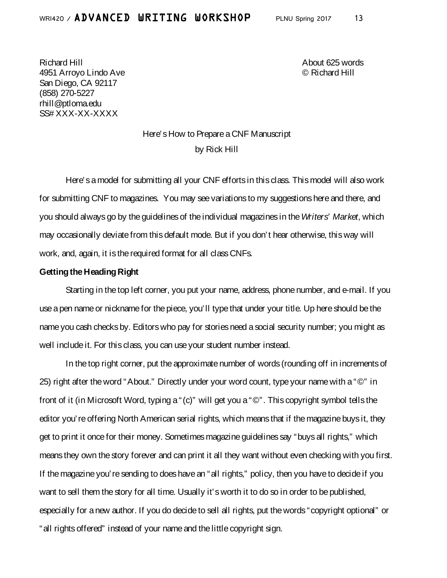# WRI420 / ADVANCED URITING UORKSHOP PLNU Spring 2017 13

Richard Hill About 625 words 4951 Arroyo Lindo Ave © Richard Hill San Diego, CA 92117 (858) 270-5227 rhill@ptloma.edu SS# XXX-XX-XXXX

# Here's How to Prepare a CNF Manuscript by Rick Hill

Here's a model for submitting all your CNF efforts in this class. This model will also work for submitting CNF to magazines. You may see variations to my suggestions here and there, and you should always go by the guidelines of the individual magazines in the*Writers' Market*, which may occasionally deviate from this default mode. But if you don't hear otherwise, this way will work, and, again, it is the required format for all class CNFs.

### **Getting the Heading Right**

Starting in the top left corner, you put your name, address, phone number, and e-mail. If you use a pen name or nickname for the piece, you'll type that under your title. Up here should be the name you cash checks by. Editors who pay for stories need a social security number; you might as well include it. For this class, you can use your student number instead.

In the top right corner, put the approximate number of words (rounding off in increments of 25) right after the word "About." Directly under your word count, type your name with a "©" in front of it (in Microsoft Word, typing a "(c)" will get you a "©". This copyright symbol tells the editor you're offering North American serial rights, which means that if the magazine buys it, they get to print it once for their money. Sometimes magazine guidelines say "buys all rights," which means they own the story forever and can print it all they want without even checking with you first. If the magazine you're sending to does have an "all rights," policy, then you have to decide if you want to sell them the story for all time. Usually it's worth it to do so in order to be published, especially for a new author. If you do decide to sell all rights, put the words "copyright optional" or "all rights offered" instead of your name and the little copyright sign.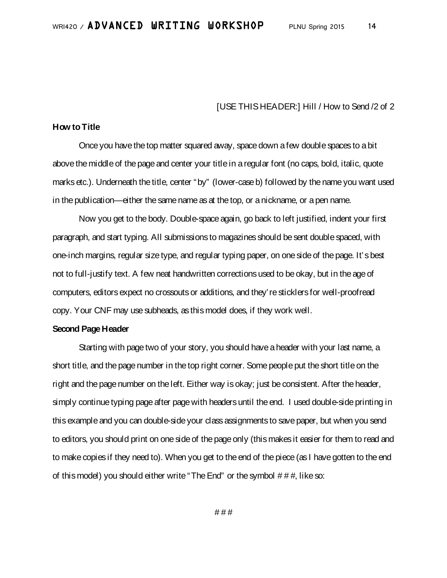### [USE THIS HEADER:] Hill / How to Send /2 of 2

### **How to Title**

Once you have the top matter squared away, space down a few double spaces to a bit above the middle of the page and center your title in a regular font (no caps, bold, italic, quote marks etc.). Underneath the title, center "by" (lower-case b) followed by the name you want used in the publication—either the same name as at the top, or a nickname, or a pen name.

Now you get to the body. Double-space again, go back to left justified, indent your first paragraph, and start typing. All submissions to magazines should be sent double spaced, with one-inch margins, regular size type, and regular typing paper, on one side of the page. It's best not to full-justify text. A few neat handwritten corrections used to be okay, but in the age of computers, editors expect no crossouts or additions, and they're sticklers for well-proofread copy. Your CNF may use subheads, as this model does, if they work well.

### **Second Page Header**

Starting with page two of your story, you should have a header with your last name, a short title, and the page number in the top right corner. Some people put the short title on the right and the page number on the left. Either way is okay; just be consistent. After the header, simply continue typing page after page with headers until the end. I used double-side printing in this example and you can double-side your class assignments to save paper, but when you send to editors, you should print on one side of the page only (this makes it easier for them to read and to make copies if they need to). When you get to the end of the piece (as I have gotten to the end of this model) you should either write "The End" or the symbol  $# # #$ , like so: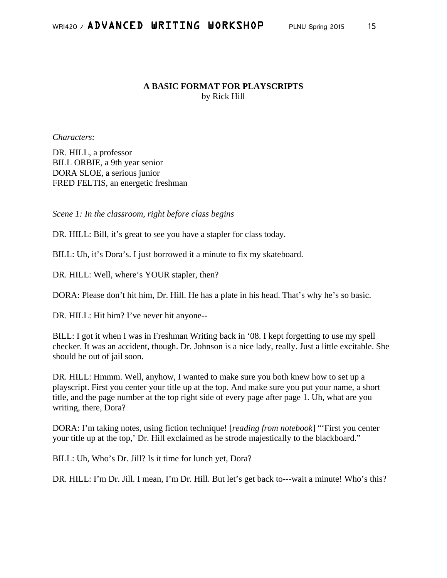## **A BASIC FORMAT FOR PLAYSCRIPTS** by Rick Hill

*Characters:*

DR. HILL, a professor BILL ORBIE, a 9th year senior DORA SLOE, a serious junior FRED FELTIS, an energetic freshman

*Scene 1: In the classroom, right before class begins*

DR. HILL: Bill, it's great to see you have a stapler for class today.

BILL: Uh, it's Dora's. I just borrowed it a minute to fix my skateboard.

DR. HILL: Well, where's YOUR stapler, then?

DORA: Please don't hit him, Dr. Hill. He has a plate in his head. That's why he's so basic.

DR. HILL: Hit him? I've never hit anyone--

BILL: I got it when I was in Freshman Writing back in '08. I kept forgetting to use my spell checker. It was an accident, though. Dr. Johnson is a nice lady, really. Just a little excitable. She should be out of jail soon.

DR. HILL: Hmmm. Well, anyhow, I wanted to make sure you both knew how to set up a playscript. First you center your title up at the top. And make sure you put your name, a short title, and the page number at the top right side of every page after page 1. Uh, what are you writing, there, Dora?

DORA: I'm taking notes, using fiction technique! [*reading from notebook*] "'First you center your title up at the top,' Dr. Hill exclaimed as he strode majestically to the blackboard."

BILL: Uh, Who's Dr. Jill? Is it time for lunch yet, Dora?

DR. HILL: I'm Dr. Jill. I mean, I'm Dr. Hill. But let's get back to---wait a minute! Who's this?